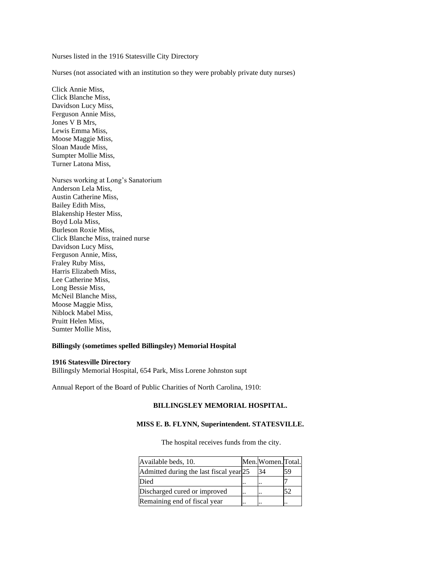Nurses listed in the 1916 Statesville City Directory

Nurses (not associated with an institution so they were probably private duty nurses)

Click Annie Miss, Click Blanche Miss, Davidson Lucy Miss, Ferguson Annie Miss, Jones V B Mrs, Lewis Emma Miss, Moose Maggie Miss, Sloan Maude Miss, Sumpter Mollie Miss, Turner Latona Miss,

Nurses working at Long's Sanatorium Anderson Lela Miss, Austin Catherine Miss, Bailey Edith Miss, Blakenship Hester Miss, Boyd Lola Miss, Burleson Roxie Miss, Click Blanche Miss, trained nurse Davidson Lucy Miss, Ferguson Annie, Miss, Fraley Ruby Miss, Harris Elizabeth Miss, Lee Catherine Miss, Long Bessie Miss, McNeil Blanche Miss, Moose Maggie Miss, Niblock Mabel Miss, Pruitt Helen Miss, Sumter Mollie Miss,

## **Billingsly (sometimes spelled Billingsley) Memorial Hospital**

## **1916 Statesville Directory**

Billingsly Memorial Hospital, 654 Park, Miss Lorene Johnston supt

Annual Report of the Board of Public Charities of North Carolina, 1910:

## **BILLINGSLEY MEMORIAL HOSPITAL.**

## **MISS E. B. FLYNN, Superintendent. STATESVILLE.**

The hospital receives funds from the city.

| Available beds, 10.                     | Men. Women. Total. |    |
|-----------------------------------------|--------------------|----|
| Admitted during the last fiscal year 25 | 34                 | 59 |
| Died                                    | <br>. .            |    |
| Discharged cured or improved            |                    | 52 |
| Remaining end of fiscal year            |                    |    |